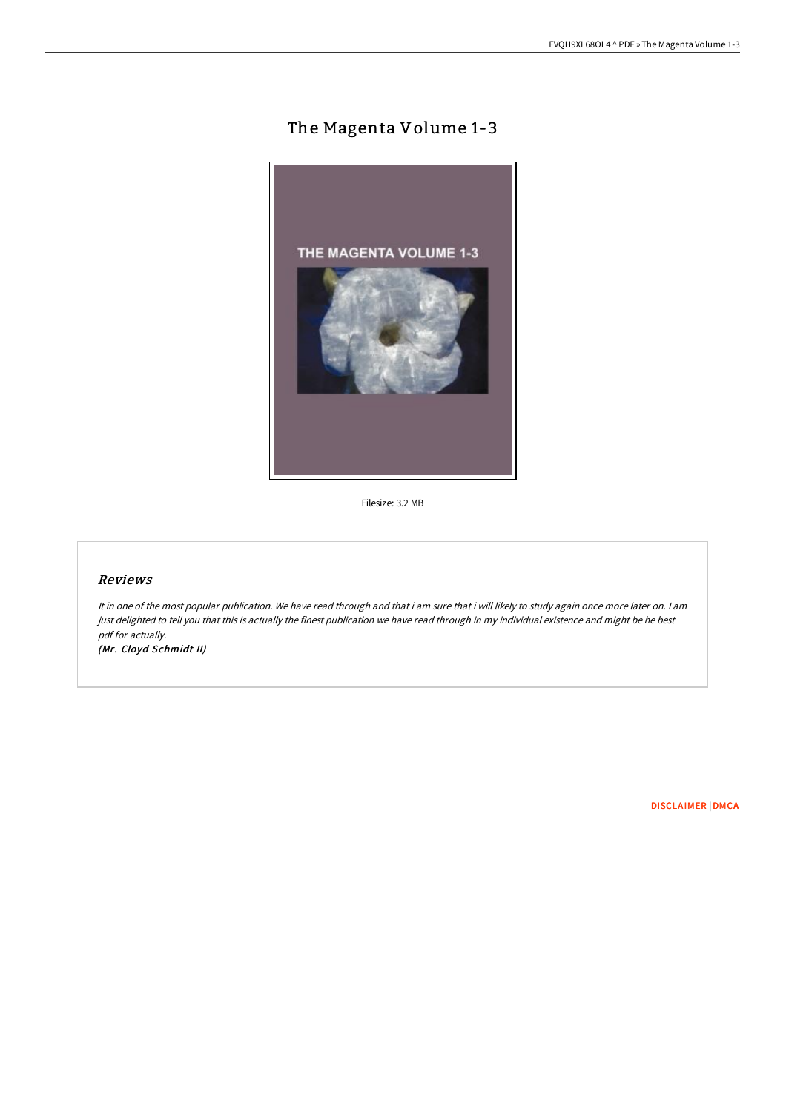## The Magenta Volume 1-3



Filesize: 3.2 MB

## Reviews

It in one of the most popular publication. We have read through and that i am sure that i will likely to study again once more later on. <sup>I</sup> am just delighted to tell you that this is actually the finest publication we have read through in my individual existence and might be he best pdf for actually. (Mr. Cloyd Schmidt II)

[DISCLAIMER](http://albedo.media/disclaimer.html) | [DMCA](http://albedo.media/dmca.html)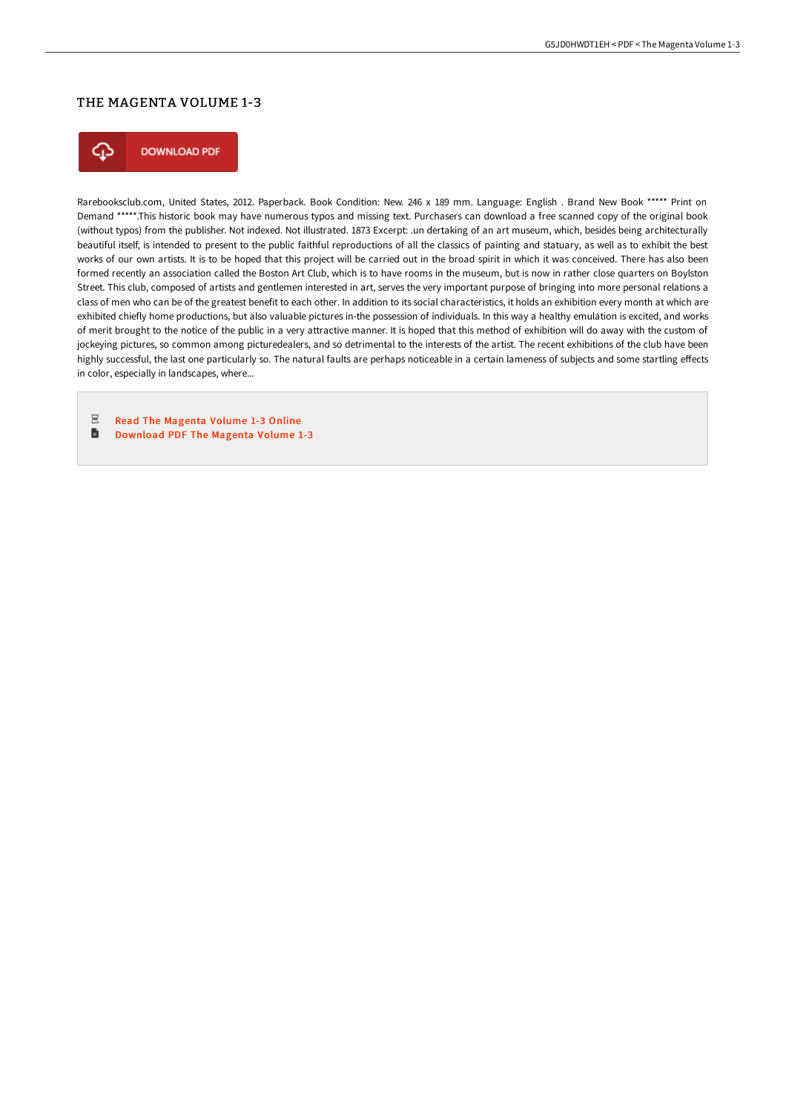## THE MAGENTA VOLUME 1-3



Rarebooksclub.com, United States, 2012. Paperback. Book Condition: New. 246 x 189 mm. Language: English . Brand New Book \*\*\*\*\* Print on Demand \*\*\*\*\*.This historic book may have numerous typos and missing text. Purchasers can download a free scanned copy of the original book (without typos) from the publisher. Not indexed. Not illustrated. 1873 Excerpt: .un dertaking of an art museum, which, besides being architecturally beautiful itself, is intended to present to the public faithful reproductions of all the classics of painting and statuary, as well as to exhibit the best works of our own artists. It is to be hoped that this project will be carried out in the broad spirit in which it was conceived. There has also been formed recently an association called the Boston Art Club, which is to have rooms in the museum, but is now in rather close quarters on Boylston Street. This club, composed of artists and gentlemen interested in art, serves the very important purpose of bringing into more personal relations a class of men who can be of the greatest benefit to each other. In addition to its social characteristics, it holds an exhibition every month at which are exhibited chiefly home productions, but also valuable pictures in-the possession of individuals. In this way a healthy emulation is excited, and works of merit brought to the notice of the public in a very attractive manner. It is hoped that this method of exhibition will do away with the custom of jockeying pictures, so common among picturedealers, and so detrimental to the interests of the artist. The recent exhibitions of the club have been highly successful, the last one particularly so. The natural faults are perhaps noticeable in a certain lameness of subjects and some startling effects in color, especially in landscapes, where...

 $_{\rm PDF}$ Read The [Magenta](http://albedo.media/the-magenta-volume-1-3-paperback.html) Volume 1-3 Online

 $\blacksquare$ [Download](http://albedo.media/the-magenta-volume-1-3-paperback.html) PDF The Magenta Volume 1-3